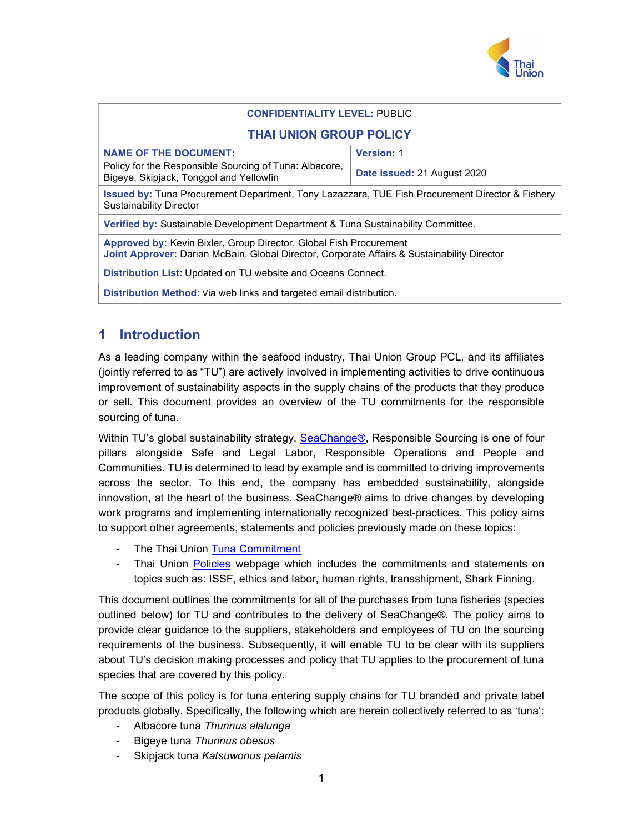

| <b>CONFIDENTIALITY LEVEL: PUBLIC</b>                                                                                                                                     |                             |
|--------------------------------------------------------------------------------------------------------------------------------------------------------------------------|-----------------------------|
| <b>THAI UNION GROUP POLICY</b>                                                                                                                                           |                             |
| <b>NAME OF THE DOCUMENT:</b>                                                                                                                                             | <b>Version: 1</b>           |
| Policy for the Responsible Sourcing of Tuna: Albacore,<br>Bigeye, Skipjack, Tonggol and Yellowfin                                                                        | Date issued: 21 August 2020 |
| <b>Issued by: Tuna Procurement Department, Tony Lazazzara, TUE Fish Procurement Director &amp; Fishery</b><br><b>Sustainability Director</b>                             |                             |
| Verified by: Sustainable Development Department & Tuna Sustainability Committee.                                                                                         |                             |
| <b>Approved by: Kevin Bixler, Group Director, Global Fish Procurement</b><br>Joint Approver: Darian McBain, Global Director, Corporate Affairs & Sustainability Director |                             |
| Distribution List: Updated on TU website and Oceans Connect.                                                                                                             |                             |
| Distribution Method: Via web links and targeted email distribution.                                                                                                      |                             |

# 1 Introduction

As a leading company within the seafood industry, Thai Union Group PCL. and its affiliates (jointly referred to as "TU") are actively involved in implementing activities to drive continuous improvement of sustainability aspects in the supply chains of the products that they produce or sell. This document provides an overview of the TU commitments for the responsible sourcing of tuna.

Within TU's global sustainability strategy, SeaChange®, Responsible Sourcing is one of four pillars alongside Safe and Legal Labor, Responsible Operations and People and Communities. TU is determined to lead by example and is committed to driving improvements across the sector. To this end, the company has embedded sustainability, alongside innovation, at the heart of the business. SeaChange® aims to drive changes by developing work programs and implementing internationally recognized best-practices. This policy aims to support other agreements, statements and policies previously made on these topics:

- The Thai Union Tuna Commitment
- Thai Union Policies webpage which includes the commitments and statements on topics such as: ISSF, ethics and labor, human rights, transshipment, Shark Finning.

This document outlines the commitments for all of the purchases from tuna fisheries (species outlined below) for TU and contributes to the delivery of SeaChange®. The policy aims to provide clear guidance to the suppliers, stakeholders and employees of TU on the sourcing requirements of the business. Subsequently, it will enable TU to be clear with its suppliers about TU's decision making processes and policy that TU applies to the procurement of tuna species that are covered by this policy.

The scope of this policy is for tuna entering supply chains for TU branded and private label products globally. Specifically, the following which are herein collectively referred to as 'tuna':

- Albacore tuna Thunnus alalunga
- Bigeye tuna Thunnus obesus
- Skipjack tuna Katsuwonus pelamis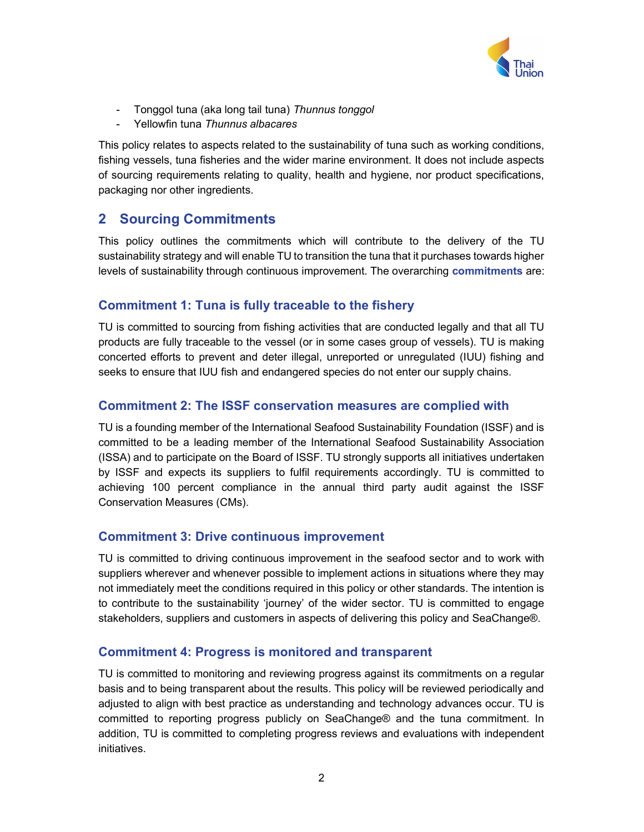

- Tonggol tuna (aka long tail tuna) Thunnus tonggol
- Yellowfin tuna Thunnus albacares

This policy relates to aspects related to the sustainability of tuna such as working conditions, fishing vessels, tuna fisheries and the wider marine environment. It does not include aspects of sourcing requirements relating to quality, health and hygiene, nor product specifications, packaging nor other ingredients.

## 2 Sourcing Commitments

This policy outlines the commitments which will contribute to the delivery of the TU sustainability strategy and will enable TU to transition the tuna that it purchases towards higher levels of sustainability through continuous improvement. The overarching commitments are:

## Commitment 1: Tuna is fully traceable to the fishery

TU is committed to sourcing from fishing activities that are conducted legally and that all TU products are fully traceable to the vessel (or in some cases group of vessels). TU is making concerted efforts to prevent and deter illegal, unreported or unregulated (IUU) fishing and seeks to ensure that IUU fish and endangered species do not enter our supply chains.

## Commitment 2: The ISSF conservation measures are complied with

TU is a founding member of the International Seafood Sustainability Foundation (ISSF) and is committed to be a leading member of the International Seafood Sustainability Association (ISSA) and to participate on the Board of ISSF. TU strongly supports all initiatives undertaken by ISSF and expects its suppliers to fulfil requirements accordingly. TU is committed to achieving 100 percent compliance in the annual third party audit against the ISSF Conservation Measures (CMs).

## Commitment 3: Drive continuous improvement

TU is committed to driving continuous improvement in the seafood sector and to work with suppliers wherever and whenever possible to implement actions in situations where they may not immediately meet the conditions required in this policy or other standards. The intention is to contribute to the sustainability 'journey' of the wider sector. TU is committed to engage stakeholders, suppliers and customers in aspects of delivering this policy and SeaChange®.

## Commitment 4: Progress is monitored and transparent

TU is committed to monitoring and reviewing progress against its commitments on a regular basis and to being transparent about the results. This policy will be reviewed periodically and adjusted to align with best practice as understanding and technology advances occur. TU is committed to reporting progress publicly on SeaChange® and the tuna commitment. In addition, TU is committed to completing progress reviews and evaluations with independent initiatives.